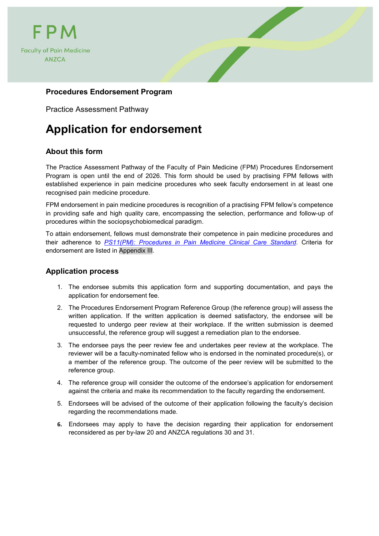



## **Procedures Endorsement Program**

Practice Assessment Pathway

## **Application for endorsement**

## **About this form**

The Practice Assessment Pathway of the Faculty of Pain Medicine (FPM) Procedures Endorsement Program is open until the end of 2026. This form should be used by practising FPM fellows with established experience in pain medicine procedures who seek faculty endorsement in at least one recognised pain medicine procedure.

FPM endorsement in pain medicine procedures is recognition of a practising FPM fellow's competence in providing safe and high quality care, encompassing the selection, performance and follow-up of procedures within the sociopsychobiomedical paradigm.

To attain endorsement, fellows must demonstrate their competence in pain medicine procedures and their adherence to *[PS11\(PM\): Procedures in Pain Medicine Clinical Care Standard](http://fpm.anzca.edu.au/documents/fpm-procedures-in-pain-medicine-ccs-v1-0-20191003.pdf)*. Criteria for endorsement are listed in [Appendix III.](#page-15-0)

### **Application process**

- 1. The endorsee submits this application form and supporting documentation, and pays the application for endorsement fee.
- 2. The Procedures Endorsement Program Reference Group (the reference group) will assess the written application. If the written application is deemed satisfactory, the endorsee will be requested to undergo peer review at their workplace. If the written submission is deemed unsuccessful, the reference group will suggest a remediation plan to the endorsee.
- 3. The endorsee pays the peer review fee and undertakes peer review at the workplace. The reviewer will be a faculty-nominated fellow who is endorsed in the nominated procedure(s), or a member of the reference group. The outcome of the peer review will be submitted to the reference group.
- 4. The reference group will consider the outcome of the endorsee's application for endorsement against the criteria and make its recommendation to the faculty regarding the endorsement.
- 5. Endorsees will be advised of the outcome of their application following the faculty's decision regarding the recommendations made.
- **6.** Endorsees may apply to have the decision regarding their application for endorsement reconsidered as per by-law 20 and ANZCA regulations 30 and 31.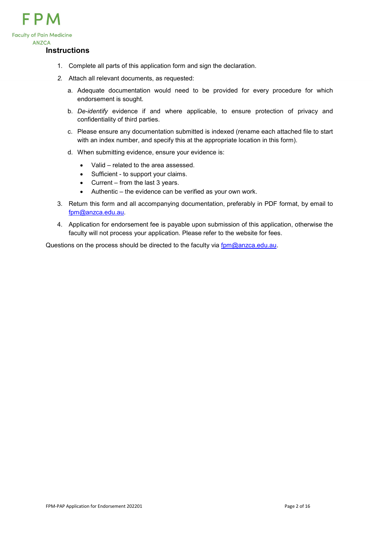

#### **Instructions**

- 1. Complete all parts of this application form and sign the declaration.
- *2.* Attach all relevant documents, as requested:
	- a. Adequate documentation would need to be provided for every procedure for which endorsement is sought.
	- b. *De-identify* evidence if and where applicable, to ensure protection of privacy and confidentiality of third parties.
	- c. Please ensure any documentation submitted is indexed (rename each attached file to start with an index number, and specify this at the appropriate location in this form).
	- d. When submitting evidence, ensure your evidence is:
		- Valid related to the area assessed.
		- Sufficient to support your claims.
		- Current from the last 3 years.
		- Authentic the evidence can be verified as your own work.
- 3. Return this form and all accompanying documentation, preferably in PDF format, by email to [fpm@anzca.edu.au.](mailto:fpm@anzca.edu.au)
- 4. Application for endorsement fee is payable upon submission of this application, otherwise the faculty will not process your application. Please refer to the website for fees.

Questions on the process should be directed to the faculty via [fpm@anzca.edu.au.](mailto:fpm@anzca.edu.au)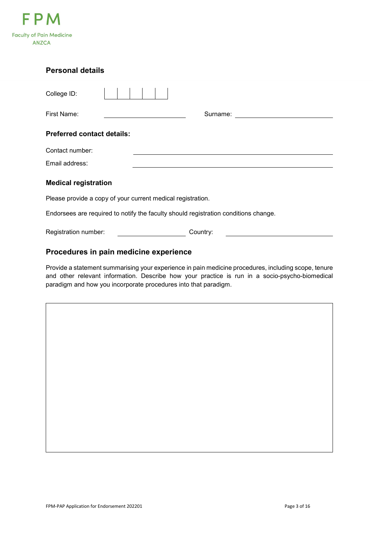

| <b>Personal details</b>                                                             |  |  |  |  |  |  |  |
|-------------------------------------------------------------------------------------|--|--|--|--|--|--|--|
| College ID:                                                                         |  |  |  |  |  |  |  |
| First Name:<br>Surname:<br><u> 1989 - Johann Stein, fransk politik (</u>            |  |  |  |  |  |  |  |
| <b>Preferred contact details:</b>                                                   |  |  |  |  |  |  |  |
| Contact number:                                                                     |  |  |  |  |  |  |  |
| Email address:                                                                      |  |  |  |  |  |  |  |
| <b>Medical registration</b>                                                         |  |  |  |  |  |  |  |
| Please provide a copy of your current medical registration.                         |  |  |  |  |  |  |  |
| Endorsees are required to notify the faculty should registration conditions change. |  |  |  |  |  |  |  |
| Registration number:<br>Country:                                                    |  |  |  |  |  |  |  |

## **Procedures in pain medicine experience**

Provide a statement summarising your experience in pain medicine procedures, including scope, tenure and other relevant information. Describe how your practice is run in a socio-psycho-biomedical paradigm and how you incorporate procedures into that paradigm.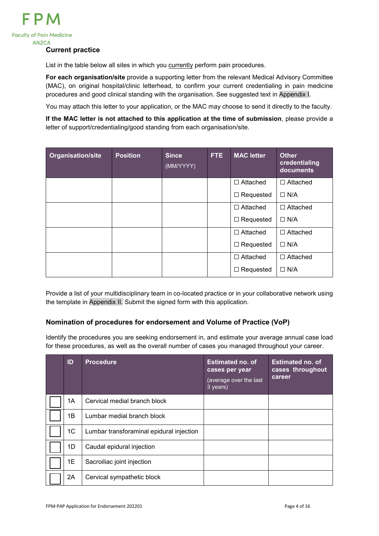

#### **Current practice**

List in the table below all sites in which you currently perform pain procedures.

**For each organisation/site** provide a supporting letter from the relevant Medical Advisory Committee (MAC), on original hospital/clinic letterhead, to confirm your current credentialing in pain medicine procedures and good clinical standing with the organisation. See suggested text in [Appendix I.](#page-13-0)

You may attach this letter to your application, or the MAC may choose to send it directly to the faculty.

**If the MAC letter is not attached to this application at the time of submission**, please provide a letter of support/credentialing/good standing from each organisation/site.

| <b>Organisation/site</b> | <b>Position</b> | <b>Since</b><br>(MM/YYYY) | FTE. | <b>MAC</b> letter | <b>Other</b><br>credentialing<br>documents |
|--------------------------|-----------------|---------------------------|------|-------------------|--------------------------------------------|
|                          |                 |                           |      | $\Box$ Attached   | $\Box$ Attached                            |
|                          |                 |                           |      | $\Box$ Requested  | $\Box$ N/A                                 |
|                          |                 |                           |      | $\Box$ Attached   | $\Box$ Attached                            |
|                          |                 |                           |      | $\Box$ Requested  | $\Box$ N/A                                 |
|                          |                 |                           |      | $\Box$ Attached   | $\Box$ Attached                            |
|                          |                 |                           |      | $\Box$ Requested  | $\Box$ N/A                                 |
|                          |                 |                           |      | $\Box$ Attached   | $\Box$ Attached                            |
|                          |                 |                           |      | Requested<br>⊔    | $\Box$ N/A                                 |

Provide a list of your multidisciplinary team in co-located practice or in your collaborative network using the template in [Appendix II.](#page-14-0) Submit the signed form with this application.

### **Nomination of procedures for endorsement and Volume of Practice (VoP)**

Identify the procedures you are seeking endorsement in, and estimate your average annual case load for these procedures, as well as the overall number of cases you managed throughout your career.

| ID             | <b>Procedure</b>                         | <b>Estimated no. of</b><br>cases per year<br>(average over the last<br>3 years) | <b>Estimated no. of</b><br>cases throughout<br>career |
|----------------|------------------------------------------|---------------------------------------------------------------------------------|-------------------------------------------------------|
| 1A             | Cervical medial branch block             |                                                                                 |                                                       |
| 1B             | Lumbar medial branch block               |                                                                                 |                                                       |
| 1 <sub>C</sub> | Lumbar transforaminal epidural injection |                                                                                 |                                                       |
| 1D             | Caudal epidural injection                |                                                                                 |                                                       |
| 1E             | Sacroiliac joint injection               |                                                                                 |                                                       |
| 2A             | Cervical sympathetic block               |                                                                                 |                                                       |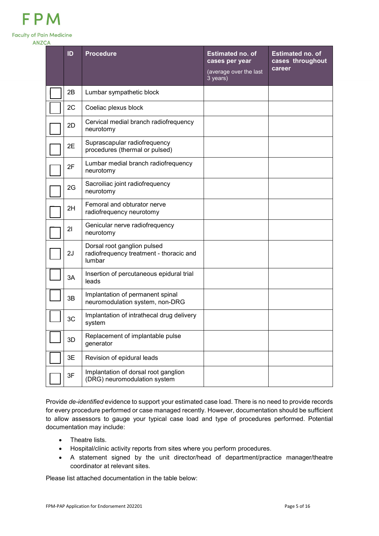|--|--|--|--|

**Faculty of Pain Medicine** 

**ANZCA** 

| ID | <b>Procedure</b>                                                                 | <b>Estimated no. of</b><br>cases per year<br>(average over the last<br>3 years) | <b>Estimated no. of</b><br>cases throughout<br>career |
|----|----------------------------------------------------------------------------------|---------------------------------------------------------------------------------|-------------------------------------------------------|
| 2B | Lumbar sympathetic block                                                         |                                                                                 |                                                       |
| 2C | Coeliac plexus block                                                             |                                                                                 |                                                       |
| 2D | Cervical medial branch radiofrequency<br>neurotomy                               |                                                                                 |                                                       |
| 2E | Suprascapular radiofrequency<br>procedures (thermal or pulsed)                   |                                                                                 |                                                       |
| 2F | Lumbar medial branch radiofrequency<br>neurotomy                                 |                                                                                 |                                                       |
| 2G | Sacroiliac joint radiofrequency<br>neurotomy                                     |                                                                                 |                                                       |
| 2H | Femoral and obturator nerve<br>radiofrequency neurotomy                          |                                                                                 |                                                       |
| 21 | Genicular nerve radiofrequency<br>neurotomy                                      |                                                                                 |                                                       |
| 2J | Dorsal root ganglion pulsed<br>radiofrequency treatment - thoracic and<br>lumbar |                                                                                 |                                                       |
| 3A | Insertion of percutaneous epidural trial<br>leads                                |                                                                                 |                                                       |
| 3B | Implantation of permanent spinal<br>neuromodulation system, non-DRG              |                                                                                 |                                                       |
| 3C | Implantation of intrathecal drug delivery<br>system                              |                                                                                 |                                                       |
| 3D | Replacement of implantable pulse<br>generator                                    |                                                                                 |                                                       |
| 3E | Revision of epidural leads                                                       |                                                                                 |                                                       |
| 3F | Implantation of dorsal root ganglion<br>(DRG) neuromodulation system             |                                                                                 |                                                       |

Provide *de-identified* evidence to support your estimated case load. There is no need to provide records for every procedure performed or case managed recently. However, documentation should be sufficient to allow assessors to gauge your typical case load and type of procedures performed. Potential documentation may include:

- Theatre lists.
- Hospital/clinic activity reports from sites where you perform procedures.
- A statement signed by the unit director/head of department/practice manager/theatre coordinator at relevant sites.

Please list attached documentation in the table below: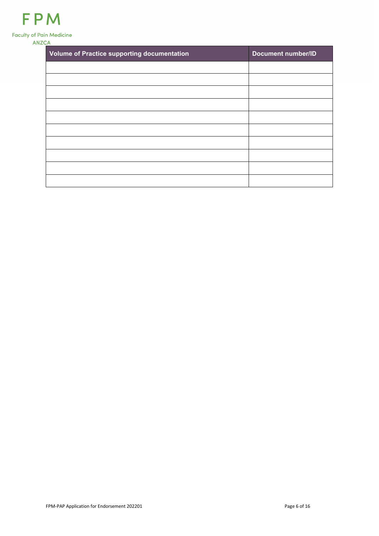| Volume of Practice supporting documentation | <b>Document number/ID</b> |
|---------------------------------------------|---------------------------|
|                                             |                           |
|                                             |                           |
|                                             |                           |
|                                             |                           |
|                                             |                           |
|                                             |                           |
|                                             |                           |
|                                             |                           |
|                                             |                           |
|                                             |                           |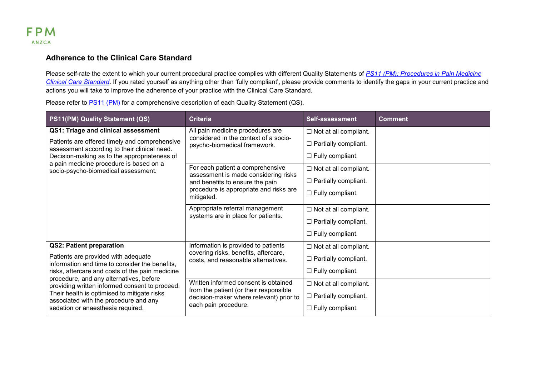

### **Adherence to the Clinical Care Standard**

Please self-rate the extent to which your current procedural practice complies with different Quality Statements of *PS11 [\(PM\): Procedures in Pain Medicine](http://fpm.anzca.edu.au/documents/fpm-procedures-in-pain-medicine-ccs-v1-0-20191003.pdf)  [Clinical Care Standard](http://fpm.anzca.edu.au/documents/fpm-procedures-in-pain-medicine-ccs-v1-0-20191003.pdf)*. If you rated yourself as anything other than 'fully compliant', please provide comments to identify the gaps in your current practice and actions you will take to improve the adherence of your practice with the Clinical Care Standard.

| PS11(PM) Quality Statement (QS)                                                                                                          | <b>Criteria</b>                                                                                           | Self-assessment              | <b>Comment</b> |
|------------------------------------------------------------------------------------------------------------------------------------------|-----------------------------------------------------------------------------------------------------------|------------------------------|----------------|
| QS1: Triage and clinical assessment                                                                                                      | All pain medicine procedures are                                                                          | $\Box$ Not at all compliant. |                |
| Patients are offered timely and comprehensive                                                                                            | considered in the context of a socio-<br>psycho-biomedical framework.                                     | $\Box$ Partially compliant.  |                |
| assessment according to their clinical need.<br>Decision-making as to the appropriateness of<br>a pain medicine procedure is based on a  |                                                                                                           | $\Box$ Fully compliant.      |                |
| socio-psycho-biomedical assessment.                                                                                                      | For each patient a comprehensive                                                                          | $\Box$ Not at all compliant. |                |
|                                                                                                                                          | assessment is made considering risks<br>and benefits to ensure the pain                                   | $\Box$ Partially compliant.  |                |
|                                                                                                                                          | procedure is appropriate and risks are<br>mitigated.                                                      | $\Box$ Fully compliant.      |                |
|                                                                                                                                          | Appropriate referral management<br>systems are in place for patients.                                     | $\Box$ Not at all compliant. |                |
|                                                                                                                                          |                                                                                                           | $\Box$ Partially compliant.  |                |
|                                                                                                                                          |                                                                                                           | $\Box$ Fully compliant.      |                |
| <b>QS2: Patient preparation</b>                                                                                                          | Information is provided to patients                                                                       | $\Box$ Not at all compliant. |                |
| Patients are provided with adequate<br>information and time to consider the benefits,<br>risks, aftercare and costs of the pain medicine | covering risks, benefits, aftercare,<br>costs, and reasonable alternatives.                               | $\Box$ Partially compliant.  |                |
|                                                                                                                                          |                                                                                                           | $\Box$ Fully compliant.      |                |
| procedure, and any alternatives, before<br>providing written informed consent to proceed.                                                | Written informed consent is obtained                                                                      | $\Box$ Not at all compliant. |                |
| Their health is optimised to mitigate risks<br>associated with the procedure and any                                                     | from the patient (or their responsible<br>decision-maker where relevant) prior to<br>each pain procedure. | $\Box$ Partially compliant.  |                |
| sedation or anaesthesia required.                                                                                                        |                                                                                                           | $\Box$ Fully compliant.      |                |

Please refer to [PS11](http://fpm.anzca.edu.au/documents/fpm-procedures-in-pain-medicine-ccs-v1-0-20191003.pdf) (PM) for a comprehensive description of each Quality Statement (QS).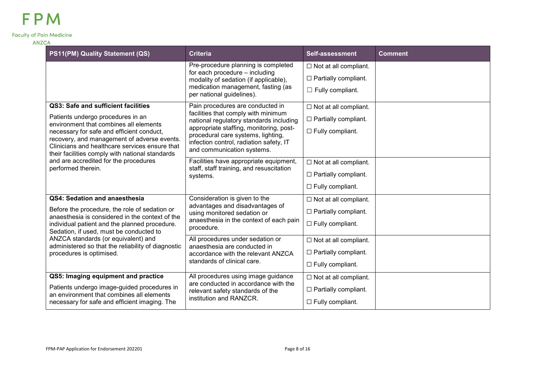| PS11(PM) Quality Statement (QS)                                                                                                                                                               | <b>Criteria</b>                                                                                                                                        | Self-assessment              | <b>Comment</b> |
|-----------------------------------------------------------------------------------------------------------------------------------------------------------------------------------------------|--------------------------------------------------------------------------------------------------------------------------------------------------------|------------------------------|----------------|
|                                                                                                                                                                                               | Pre-procedure planning is completed<br>for each procedure - including                                                                                  | $\Box$ Not at all compliant. |                |
|                                                                                                                                                                                               | modality of sedation (if applicable),                                                                                                                  | $\Box$ Partially compliant.  |                |
|                                                                                                                                                                                               | medication management, fasting (as<br>per national guidelines).                                                                                        | $\Box$ Fully compliant.      |                |
| QS3: Safe and sufficient facilities                                                                                                                                                           | Pain procedures are conducted in                                                                                                                       | $\Box$ Not at all compliant. |                |
| Patients undergo procedures in an<br>environment that combines all elements                                                                                                                   | facilities that comply with minimum<br>national regulatory standards including                                                                         | $\Box$ Partially compliant.  |                |
| necessary for safe and efficient conduct,<br>recovery, and management of adverse events.<br>Clinicians and healthcare services ensure that<br>their facilities comply with national standards | appropriate staffing, monitoring, post-<br>procedural care systems, lighting,<br>infection control, radiation safety, IT<br>and communication systems. | $\Box$ Fully compliant.      |                |
| and are accredited for the procedures                                                                                                                                                         | Facilities have appropriate equipment,                                                                                                                 | $\Box$ Not at all compliant. |                |
| performed therein.                                                                                                                                                                            | staff, staff training, and resuscitation<br>systems.                                                                                                   | $\Box$ Partially compliant.  |                |
|                                                                                                                                                                                               |                                                                                                                                                        | $\Box$ Fully compliant.      |                |
| QS4: Sedation and anaesthesia                                                                                                                                                                 | Consideration is given to the                                                                                                                          | $\Box$ Not at all compliant. |                |
| Before the procedure, the role of sedation or<br>anaesthesia is considered in the context of the                                                                                              | advantages and disadvantages of<br>using monitored sedation or                                                                                         | $\Box$ Partially compliant.  |                |
| individual patient and the planned procedure.<br>Sedation, if used, must be conducted to                                                                                                      | anaesthesia in the context of each pain<br>procedure.                                                                                                  | $\Box$ Fully compliant.      |                |
| ANZCA standards (or equivalent) and<br>administered so that the reliability of diagnostic                                                                                                     | All procedures under sedation or<br>anaesthesia are conducted in                                                                                       | $\Box$ Not at all compliant. |                |
| procedures is optimised.                                                                                                                                                                      | accordance with the relevant ANZCA                                                                                                                     | $\Box$ Partially compliant.  |                |
|                                                                                                                                                                                               | standards of clinical care.                                                                                                                            | $\Box$ Fully compliant.      |                |
| QS5: Imaging equipment and practice                                                                                                                                                           | All procedures using image guidance                                                                                                                    | $\Box$ Not at all compliant. |                |
| Patients undergo image-guided procedures in<br>an environment that combines all elements                                                                                                      | are conducted in accordance with the<br>relevant safety standards of the                                                                               | $\Box$ Partially compliant.  |                |
| necessary for safe and efficient imaging. The                                                                                                                                                 | institution and RANZCR.                                                                                                                                | $\Box$ Fully compliant.      |                |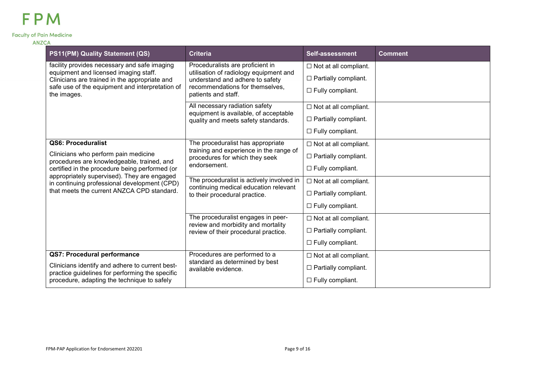| ANZCA |  |  |
|-------|--|--|
|       |  |  |

| PS11(PM) Quality Statement (QS)                                                                                                                                                                                                     | <b>Criteria</b>                                                                    | Self-assessment              | <b>Comment</b> |
|-------------------------------------------------------------------------------------------------------------------------------------------------------------------------------------------------------------------------------------|------------------------------------------------------------------------------------|------------------------------|----------------|
| facility provides necessary and safe imaging<br>equipment and licensed imaging staff.                                                                                                                                               | Proceduralists are proficient in<br>utilisation of radiology equipment and         | $\Box$ Not at all compliant. |                |
| Clinicians are trained in the appropriate and                                                                                                                                                                                       | understand and adhere to safety                                                    | $\Box$ Partially compliant.  |                |
| safe use of the equipment and interpretation of<br>the images.                                                                                                                                                                      | recommendations for themselves,<br>patients and staff.                             | $\Box$ Fully compliant.      |                |
|                                                                                                                                                                                                                                     | All necessary radiation safety<br>equipment is available, of acceptable            | $\Box$ Not at all compliant. |                |
|                                                                                                                                                                                                                                     | quality and meets safety standards.                                                | $\Box$ Partially compliant.  |                |
|                                                                                                                                                                                                                                     |                                                                                    | $\Box$ Fully compliant.      |                |
| QS6: Proceduralist                                                                                                                                                                                                                  | The proceduralist has appropriate<br>training and experience in the range of       | $\Box$ Not at all compliant. |                |
| Clinicians who perform pain medicine<br>procedures are knowledgeable, trained, and<br>certified in the procedure being performed (or<br>appropriately supervised). They are engaged<br>in continuing professional development (CPD) | procedures for which they seek<br>endorsement.                                     | $\Box$ Partially compliant.  |                |
|                                                                                                                                                                                                                                     |                                                                                    | $\Box$ Fully compliant.      |                |
|                                                                                                                                                                                                                                     | The proceduralist is actively involved in<br>continuing medical education relevant | $\Box$ Not at all compliant. |                |
| that meets the current ANZCA CPD standard.                                                                                                                                                                                          | to their procedural practice.                                                      | $\Box$ Partially compliant.  |                |
|                                                                                                                                                                                                                                     |                                                                                    | $\Box$ Fully compliant.      |                |
|                                                                                                                                                                                                                                     | The proceduralist engages in peer-<br>review and morbidity and mortality           | $\Box$ Not at all compliant. |                |
|                                                                                                                                                                                                                                     | review of their procedural practice.                                               | $\Box$ Partially compliant.  |                |
|                                                                                                                                                                                                                                     |                                                                                    | $\Box$ Fully compliant.      |                |
| QS7: Procedural performance                                                                                                                                                                                                         | Procedures are performed to a                                                      | $\Box$ Not at all compliant. |                |
| Clinicians identify and adhere to current best-<br>practice guidelines for performing the specific                                                                                                                                  | standard as determined by best<br>available evidence.                              | $\Box$ Partially compliant.  |                |
| procedure, adapting the technique to safely                                                                                                                                                                                         |                                                                                    | $\Box$ Fully compliant.      |                |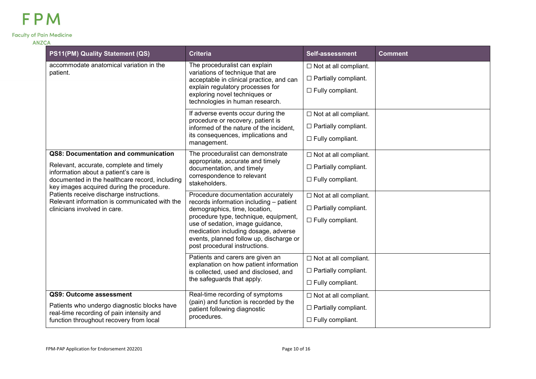| PS11(PM) Quality Statement (QS)                                                                                                                                                                                         | <b>Criteria</b>                                                                                                                                                                                                                                                                                                 | <b>Self-assessment</b>                                                                 | <b>Comment</b> |
|-------------------------------------------------------------------------------------------------------------------------------------------------------------------------------------------------------------------------|-----------------------------------------------------------------------------------------------------------------------------------------------------------------------------------------------------------------------------------------------------------------------------------------------------------------|----------------------------------------------------------------------------------------|----------------|
| accommodate anatomical variation in the<br>patient.                                                                                                                                                                     | The proceduralist can explain<br>variations of technique that are<br>acceptable in clinical practice, and can<br>explain regulatory processes for<br>exploring novel techniques or<br>technologies in human research.                                                                                           | $\Box$ Not at all compliant.<br>$\Box$ Partially compliant.<br>$\Box$ Fully compliant. |                |
|                                                                                                                                                                                                                         | If adverse events occur during the<br>procedure or recovery, patient is<br>informed of the nature of the incident,<br>its consequences, implications and<br>management.                                                                                                                                         | $\Box$ Not at all compliant.<br>$\Box$ Partially compliant.<br>$\Box$ Fully compliant. |                |
| QS8: Documentation and communication<br>Relevant, accurate, complete and timely<br>information about a patient's care is<br>documented in the healthcare record, including<br>key images acquired during the procedure. | The proceduralist can demonstrate<br>appropriate, accurate and timely<br>documentation, and timely<br>correspondence to relevant<br>stakeholders.                                                                                                                                                               | $\Box$ Not at all compliant.<br>$\Box$ Partially compliant.<br>$\Box$ Fully compliant. |                |
| Patients receive discharge instructions.<br>Relevant information is communicated with the<br>clinicians involved in care.                                                                                               | Procedure documentation accurately<br>records information including - patient<br>demographics, time, location,<br>procedure type, technique, equipment,<br>use of sedation, image guidance,<br>medication including dosage, adverse<br>events, planned follow up, discharge or<br>post procedural instructions. | $\Box$ Not at all compliant.<br>$\Box$ Partially compliant.<br>$\Box$ Fully compliant. |                |
|                                                                                                                                                                                                                         | Patients and carers are given an<br>explanation on how patient information<br>is collected, used and disclosed, and<br>the safeguards that apply.                                                                                                                                                               | $\Box$ Not at all compliant.<br>$\Box$ Partially compliant.<br>$\Box$ Fully compliant. |                |
| QS9: Outcome assessment<br>Patients who undergo diagnostic blocks have<br>real-time recording of pain intensity and<br>function throughout recovery from local                                                          | Real-time recording of symptoms<br>(pain) and function is recorded by the<br>patient following diagnostic<br>procedures.                                                                                                                                                                                        | $\Box$ Not at all compliant.<br>$\Box$ Partially compliant.<br>$\Box$ Fully compliant. |                |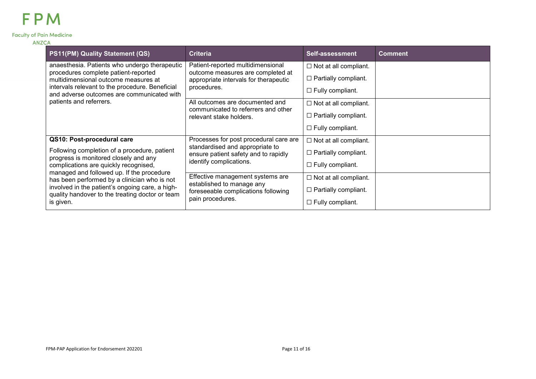| PS11(PM) Quality Statement (QS)                                                                                                                                                                                                                                                                                                                | <b>Criteria</b>                                                                                                                              | <b>Self-assessment</b>       | <b>Comment</b> |
|------------------------------------------------------------------------------------------------------------------------------------------------------------------------------------------------------------------------------------------------------------------------------------------------------------------------------------------------|----------------------------------------------------------------------------------------------------------------------------------------------|------------------------------|----------------|
| anaesthesia. Patients who undergo therapeutic                                                                                                                                                                                                                                                                                                  | Patient-reported multidimensional<br>outcome measures are completed at<br>appropriate intervals for therapeutic<br>procedures.               | $\Box$ Not at all compliant. |                |
| procedures complete patient-reported<br>multidimensional outcome measures at<br>intervals relevant to the procedure. Beneficial<br>and adverse outcomes are communicated with<br>patients and referrers.                                                                                                                                       |                                                                                                                                              | $\Box$ Partially compliant.  |                |
|                                                                                                                                                                                                                                                                                                                                                |                                                                                                                                              | $\Box$ Fully compliant.      |                |
|                                                                                                                                                                                                                                                                                                                                                | All outcomes are documented and<br>communicated to referrers and other<br>relevant stake holders.                                            | $\Box$ Not at all compliant. |                |
|                                                                                                                                                                                                                                                                                                                                                |                                                                                                                                              | $\Box$ Partially compliant.  |                |
|                                                                                                                                                                                                                                                                                                                                                |                                                                                                                                              | $\Box$ Fully compliant.      |                |
| QS10: Post-procedural care                                                                                                                                                                                                                                                                                                                     | Processes for post procedural care are<br>standardised and appropriate to<br>ensure patient safety and to rapidly<br>identify complications. | $\Box$ Not at all compliant. |                |
| Following completion of a procedure, patient<br>progress is monitored closely and any<br>complications are quickly recognised,<br>managed and followed up. If the procedure<br>has been performed by a clinician who is not<br>involved in the patient's ongoing care, a high-<br>quality handover to the treating doctor or team<br>is given. |                                                                                                                                              | $\Box$ Partially compliant.  |                |
|                                                                                                                                                                                                                                                                                                                                                |                                                                                                                                              | $\Box$ Fully compliant.      |                |
|                                                                                                                                                                                                                                                                                                                                                | Effective management systems are<br>established to manage any<br>foreseeable complications following<br>pain procedures.                     | $\Box$ Not at all compliant. |                |
|                                                                                                                                                                                                                                                                                                                                                |                                                                                                                                              | $\Box$ Partially compliant.  |                |
|                                                                                                                                                                                                                                                                                                                                                |                                                                                                                                              | $\Box$ Fully compliant.      |                |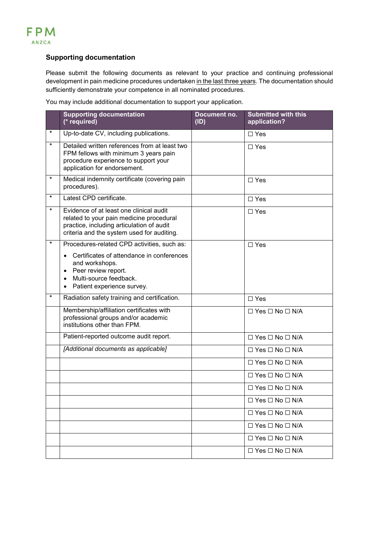### **Supporting documentation**

Please submit the following documents as relevant to your practice and continuing professional development in pain medicine procedures undertaken in the last three years. The documentation should sufficiently demonstrate your competence in all nominated procedures.

You may include additional documentation to support your application.

|          | <b>Supporting documentation</b><br>(* required)                                                                                                                                                                          | Document no.<br>(ID) | <b>Submitted with this</b><br>application? |
|----------|--------------------------------------------------------------------------------------------------------------------------------------------------------------------------------------------------------------------------|----------------------|--------------------------------------------|
| $^\star$ | Up-to-date CV, including publications.                                                                                                                                                                                   |                      | $\Box$ Yes                                 |
| $\star$  | Detailed written references from at least two<br>FPM fellows with minimum 3 years pain<br>procedure experience to support your<br>application for endorsement.                                                           |                      | $\square$ Yes                              |
| $\star$  | Medical indemnity certificate (covering pain<br>procedures).                                                                                                                                                             |                      | $\Box$ Yes                                 |
| $\star$  | Latest CPD certificate.                                                                                                                                                                                                  |                      | $\square$ Yes                              |
| $\star$  | Evidence of at least one clinical audit<br>related to your pain medicine procedural<br>practice, including articulation of audit<br>criteria and the system used for auditing.                                           |                      | $\Box$ Yes                                 |
| $\star$  | Procedures-related CPD activities, such as:<br>Certificates of attendance in conferences<br>$\bullet$<br>and workshops.<br>Peer review report.<br>٠<br>Multi-source feedback.<br>$\bullet$<br>Patient experience survey. |                      | $\Box$ Yes                                 |
| $\star$  | Radiation safety training and certification.                                                                                                                                                                             |                      | $\square$ Yes                              |
|          | Membership/affiliation certificates with<br>professional groups and/or academic<br>institutions other than FPM.                                                                                                          |                      | $\Box$ Yes $\Box$ No $\Box$ N/A            |
|          | Patient-reported outcome audit report.                                                                                                                                                                                   |                      | $\Box$ Yes $\Box$ No $\Box$ N/A            |
|          | [Additional documents as applicable]                                                                                                                                                                                     |                      | $\Box$ Yes $\Box$ No $\Box$ N/A            |
|          |                                                                                                                                                                                                                          |                      | $\Box$ Yes $\Box$ No $\Box$ N/A            |
|          |                                                                                                                                                                                                                          |                      | $\Box$ Yes $\Box$ No $\Box$ N/A            |
|          |                                                                                                                                                                                                                          |                      | $\Box$ Yes $\Box$ No $\Box$ N/A            |
|          |                                                                                                                                                                                                                          |                      | $\Box$ Yes $\Box$ No $\Box$ N/A            |
|          |                                                                                                                                                                                                                          |                      | $\Box$ Yes $\Box$ No $\Box$ N/A            |
|          |                                                                                                                                                                                                                          |                      | $\Box$ Yes $\Box$ No $\Box$ N/A            |
|          |                                                                                                                                                                                                                          |                      | $\Box$ Yes $\Box$ No $\Box$ N/A            |
|          |                                                                                                                                                                                                                          |                      | $\Box$ Yes $\Box$ No $\Box$ N/A            |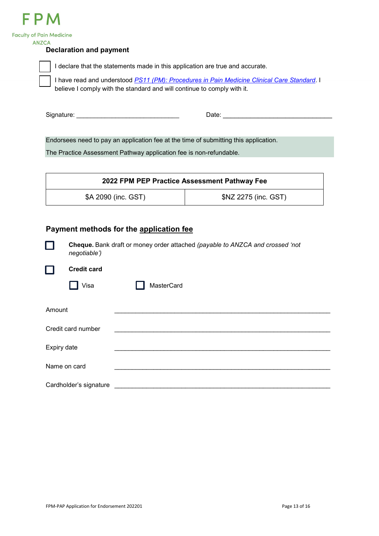

| <b>Faculty of Pain Medicine</b><br><b>ANZCA</b> |                                             |                                                                         |                                                                                             |
|-------------------------------------------------|---------------------------------------------|-------------------------------------------------------------------------|---------------------------------------------------------------------------------------------|
|                                                 | <b>Declaration and payment</b>              |                                                                         |                                                                                             |
|                                                 |                                             |                                                                         | I declare that the statements made in this application are true and accurate.               |
|                                                 |                                             | believe I comply with the standard and will continue to comply with it. | I have read and understood PS11 (PM): Procedures in Pain Medicine Clinical Care Standard. I |
|                                                 |                                             |                                                                         |                                                                                             |
|                                                 |                                             |                                                                         | Endorsees need to pay an application fee at the time of submitting this application.        |
|                                                 |                                             | The Practice Assessment Pathway application fee is non-refundable.      |                                                                                             |
|                                                 |                                             |                                                                         | 2022 FPM PEP Practice Assessment Pathway Fee                                                |
|                                                 | \$A 2090 (inc. GST)<br>\$NZ 2275 (inc. GST) |                                                                         |                                                                                             |
|                                                 | negotiable')<br><b>Credit card</b>          | Payment methods for the application fee                                 | Cheque. Bank draft or money order attached (payable to ANZCA and crossed 'not               |
|                                                 | Visa                                        | MasterCard                                                              |                                                                                             |
| Amount                                          |                                             |                                                                         |                                                                                             |
|                                                 | Credit card number                          |                                                                         |                                                                                             |
|                                                 | Expiry date                                 |                                                                         |                                                                                             |
|                                                 | Name on card                                |                                                                         |                                                                                             |

Cardholder's signature \_\_\_\_\_\_\_\_\_\_\_\_\_\_\_\_\_\_\_\_\_\_\_\_\_\_\_\_\_\_\_\_\_\_\_\_\_\_\_\_\_\_\_\_\_\_\_\_\_\_\_\_\_\_\_\_\_\_\_\_\_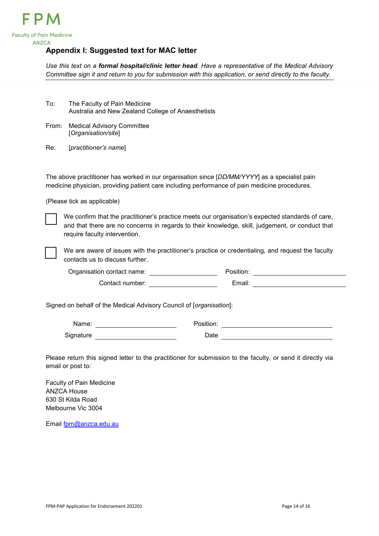

## <span id="page-13-0"></span>**Appendix I: Suggested text for MAC letter**

*Use this text on a formal hospital/clinic letter head. Have a representative of the Medical Advisory Committee sign it and return to you for submission with this application, or send directly to the faculty.*

| To: | The Faculty of Pain Medicine                       |
|-----|----------------------------------------------------|
|     | Australia and New Zealand College of Anaesthetists |

From: Medical Advisory Committee [*Organisation/site*]

Re: [*practitioner's name*]

The above practitioner has worked in our organisation since [*DD/MM/YYYY*] as a specialist pain medicine physician, providing patient care including performance of pain medicine procedures.

(Please tick as applicable)



We confirm that the practitioner's practice meets our organisation's expected standards of care, and that there are no concerns in regards to their knowledge, skill, judgement, or conduct that require faculty intervention.



We are aware of issues with the practitioner's practice or credentialing, and request the faculty contacts us to discuss further.

Organisation contact name: Position: Contact number: Email:

Signed on behalf of the Medical Advisory Council of [*organisation*]:

| Name:     | Position: |  |
|-----------|-----------|--|
| Signature | Date      |  |

Please return this signed letter to the practitioner for submission to the faculty, or send it directly via email or post to:

Faculty of Pain Medicine ANZCA House 630 St Kilda Road Melbourne Vic 3004

Email [fpm@anzca.edu.au](mailto:fpm@anzca.edu.au)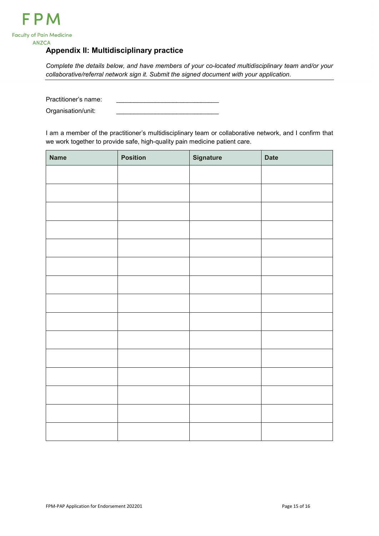

## <span id="page-14-0"></span>**Appendix II: Multidisciplinary practice**

*Complete the details below, and have members of your co-located multidisciplinary team and/or your collaborative/referral network sign it. Submit the signed document with your application.*

Practitioner's name: Organisation/unit:

I am a member of the practitioner's multidisciplinary team or collaborative network, and I confirm that we work together to provide safe, high-quality pain medicine patient care.

| <b>Name</b> | <b>Position</b> | <b>Signature</b> | <b>Date</b> |
|-------------|-----------------|------------------|-------------|
|             |                 |                  |             |
|             |                 |                  |             |
|             |                 |                  |             |
|             |                 |                  |             |
|             |                 |                  |             |
|             |                 |                  |             |
|             |                 |                  |             |
|             |                 |                  |             |
|             |                 |                  |             |
|             |                 |                  |             |
|             |                 |                  |             |
|             |                 |                  |             |
|             |                 |                  |             |
|             |                 |                  |             |
|             |                 |                  |             |